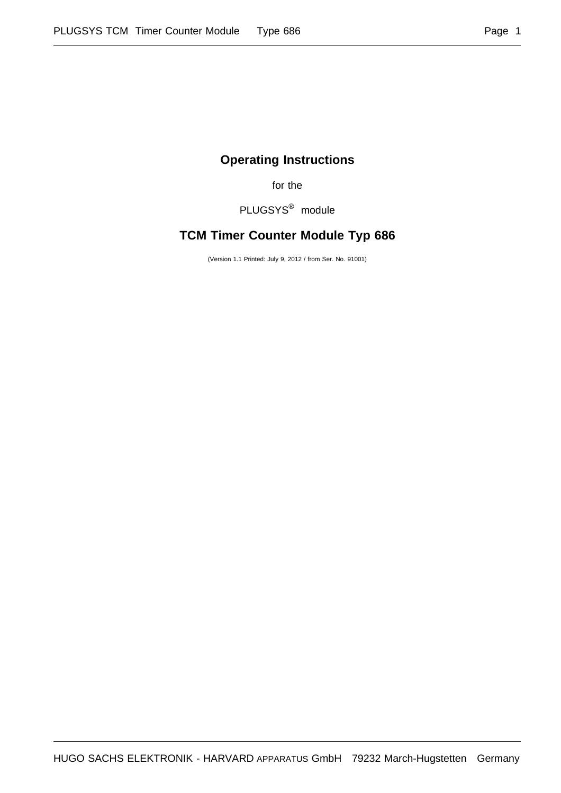## **Operating Instructions**

for the

PLUGSYS® module

# **TCM Timer Counter Module Typ 686**

(Version 1.1 Printed: July 9, 2012 / from Ser. No. 91001)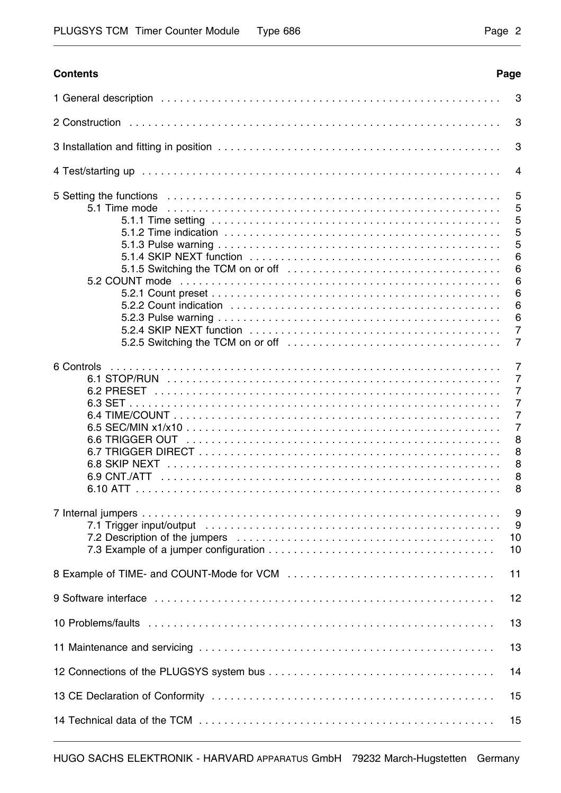#### **Contents Page**

|                                                                                                                                                                                                                                                        | 3                                                                                                                                 |
|--------------------------------------------------------------------------------------------------------------------------------------------------------------------------------------------------------------------------------------------------------|-----------------------------------------------------------------------------------------------------------------------------------|
|                                                                                                                                                                                                                                                        | 3                                                                                                                                 |
|                                                                                                                                                                                                                                                        | 3                                                                                                                                 |
|                                                                                                                                                                                                                                                        | 4                                                                                                                                 |
| 5.1.5 Switching the TCM on or off $\ldots \ldots \ldots \ldots \ldots \ldots \ldots \ldots \ldots \ldots \ldots$<br>5.2 COUNT mode<br>5.2.5 Switching the TCM on or off $\ldots \ldots \ldots \ldots \ldots \ldots \ldots \ldots \ldots \ldots \ldots$ | 5<br>5<br>5<br>5<br>5<br>6<br>6<br>6<br>6<br>6<br>6<br>$\overline{7}$<br>$\overline{7}$                                           |
| 6 Controls<br>6.1 STOP/RUN<br>6.6 TRIGGER OUT                                                                                                                                                                                                          | $\overline{7}$<br>$\overline{7}$<br>$\overline{7}$<br>$\overline{7}$<br>$\overline{7}$<br>$\overline{7}$<br>8<br>8<br>8<br>8<br>8 |
|                                                                                                                                                                                                                                                        | 9<br>9<br>10<br>10                                                                                                                |
|                                                                                                                                                                                                                                                        | 11                                                                                                                                |
|                                                                                                                                                                                                                                                        | 12                                                                                                                                |
|                                                                                                                                                                                                                                                        | 13                                                                                                                                |
|                                                                                                                                                                                                                                                        | 13                                                                                                                                |
|                                                                                                                                                                                                                                                        | 14                                                                                                                                |
|                                                                                                                                                                                                                                                        | 15                                                                                                                                |
|                                                                                                                                                                                                                                                        | 15                                                                                                                                |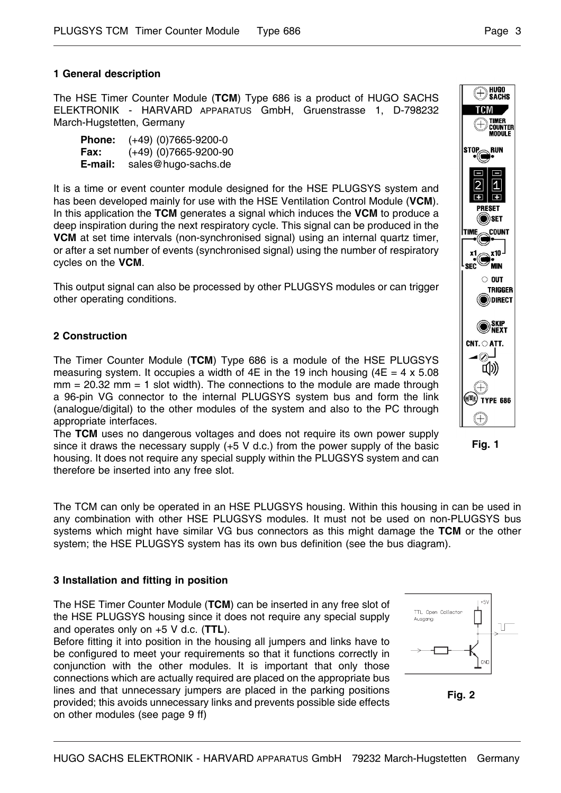## **1 General description**

The HSE Timer Counter Module (**TCM**) Type 686 is a product of HUGO SACHS ELEKTRONIK - HARVARD APPARATUS GmbH, Gruenstrasse 1, D-798232 March-Hugstetten, Germany

| <b>Phone:</b> | $(+49)$ (0)7665-9200-0  |
|---------------|-------------------------|
| Fax:          | $(+49)$ (0)7665-9200-90 |
| E-mail:       | sales@hugo-sachs.de     |

It is a time or event counter module designed for the HSE PLUGSYS system and has been developed mainly for use with the HSE Ventilation Control Module (**VCM**). In this application the **TCM** generates a signal which induces the **VCM** to produce a deep inspiration during the next respiratory cycle. This signal can be produced in the **VCM** at set time intervals (non-synchronised signal) using an internal quartz timer, or after a set number of events (synchronised signal) using the number of respiratory cycles on the **VCM**.

This output signal can also be processed by other PLUGSYS modules or can trigger other operating conditions.

## **2 Construction**

The Timer Counter Module (**TCM**) Type 686 is a module of the HSE PLUGSYS measuring system. It occupies a width of 4E in the 19 inch housing  $(4E = 4 \times 5.08$  $mm = 20.32$  mm  $= 1$  slot width). The connections to the module are made through a 96-pin VG connector to the internal PLUGSYS system bus and form the link (analogue/digital) to the other modules of the system and also to the PC through appropriate interfaces.

The **TCM** uses no dangerous voltages and does not require its own power supply since it draws the necessary supply (+5 V d.c.) from the power supply of the basic housing. It does not require any special supply within the PLUGSYS system and can therefore be inserted into any free slot.

The TCM can only be operated in an HSE PLUGSYS housing. Within this housing in can be used in any combination with other HSE PLUGSYS modules. It must not be used on non-PLUGSYS bus systems which might have similar VG bus connectors as this might damage the **TCM** or the other system; the HSE PLUGSYS system has its own bus definition (see the bus diagram).

#### **3 Installation and fitting in position**

The HSE Timer Counter Module (**TCM**) can be inserted in any free slot of the HSE PLUGSYS housing since it does not require any special supply and operates only on +5 V d.c. (**TTL**).

Before fitting it into position in the housing all jumpers and links have to be configured to meet your requirements so that it functions correctly in conjunction with the other modules. It is important that only those connections which are actually required are placed on the appropriate bus lines and that unnecessary jumpers are placed in the parking positions provided; this avoids unnecessary links and prevents possible side effects on other modules (see page 9 ff)



TTL Open Collector

HUGO<br>Sachs  $\bigoplus$ 

 $7<sub>1</sub>$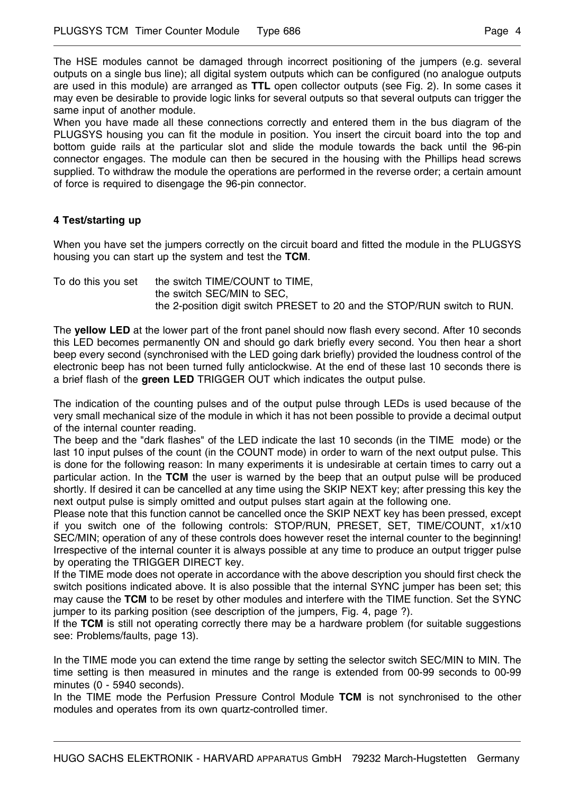The HSE modules cannot be damaged through incorrect positioning of the jumpers (e.g. several outputs on a single bus line); all digital system outputs which can be configured (no analogue outputs are used in this module) are arranged as **TTL** open collector outputs (see Fig. 2). In some cases it may even be desirable to provide logic links for several outputs so that several outputs can trigger the same input of another module.

When you have made all these connections correctly and entered them in the bus diagram of the PLUGSYS housing you can fit the module in position. You insert the circuit board into the top and bottom guide rails at the particular slot and slide the module towards the back until the 96-pin connector engages. The module can then be secured in the housing with the Phillips head screws supplied. To withdraw the module the operations are performed in the reverse order; a certain amount of force is required to disengage the 96-pin connector.

## **4 Test/starting up**

When you have set the jumpers correctly on the circuit board and fitted the module in the PLUGSYS housing you can start up the system and test the **TCM**.

To do this you set the switch TIME/COUNT to TIME, the switch SEC/MIN to SEC, the 2-position digit switch PRESET to 20 and the STOP/RUN switch to RUN.

The **yellow LED** at the lower part of the front panel should now flash every second. After 10 seconds this LED becomes permanently ON and should go dark briefly every second. You then hear a short beep every second (synchronised with the LED going dark briefly) provided the loudness control of the electronic beep has not been turned fully anticlockwise. At the end of these last 10 seconds there is a brief flash of the **green LED** TRIGGER OUT which indicates the output pulse.

The indication of the counting pulses and of the output pulse through LEDs is used because of the very small mechanical size of the module in which it has not been possible to provide a decimal output of the internal counter reading.

The beep and the "dark flashes" of the LED indicate the last 10 seconds (in the TIME mode) or the last 10 input pulses of the count (in the COUNT mode) in order to warn of the next output pulse. This is done for the following reason: In many experiments it is undesirable at certain times to carry out a particular action. In the **TCM** the user is warned by the beep that an output pulse will be produced shortly. If desired it can be cancelled at any time using the SKIP NEXT key; after pressing this key the next output pulse is simply omitted and output pulses start again at the following one.

Please note that this function cannot be cancelled once the SKIP NEXT key has been pressed, except if you switch one of the following controls: STOP/RUN, PRESET, SET, TIME/COUNT, x1/x10 SEC/MIN; operation of any of these controls does however reset the internal counter to the beginning! Irrespective of the internal counter it is always possible at any time to produce an output trigger pulse by operating the TRIGGER DIRECT key.

If the TIME mode does not operate in accordance with the above description you should first check the switch positions indicated above. It is also possible that the internal SYNC jumper has been set; this may cause the **TCM** to be reset by other modules and interfere with the TIME function. Set the SYNC jumper to its parking position (see description of the jumpers, Fig. 4, page ?).

If the **TCM** is still not operating correctly there may be a hardware problem (for suitable suggestions see: Problems/faults, page 13).

In the TIME mode you can extend the time range by setting the selector switch SEC/MIN to MIN. The time setting is then measured in minutes and the range is extended from 00-99 seconds to 00-99 minutes (0 - 5940 seconds).

In the TIME mode the Perfusion Pressure Control Module **TCM** is not synchronised to the other modules and operates from its own quartz-controlled timer.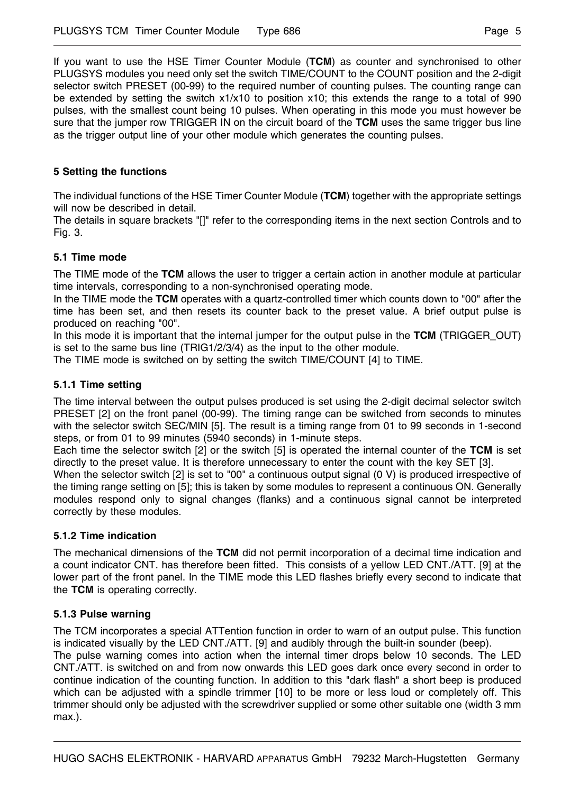If you want to use the HSE Timer Counter Module (**TCM**) as counter and synchronised to other PLUGSYS modules you need only set the switch TIME/COUNT to the COUNT position and the 2-digit selector switch PRESET (00-99) to the required number of counting pulses. The counting range can be extended by setting the switch x1/x10 to position x10; this extends the range to a total of 990 pulses, with the smallest count being 10 pulses. When operating in this mode you must however be sure that the jumper row TRIGGER IN on the circuit board of the **TCM** uses the same trigger bus line as the trigger output line of your other module which generates the counting pulses.

## **5 Setting the functions**

The individual functions of the HSE Timer Counter Module (**TCM**) together with the appropriate settings will now be described in detail.

The details in square brackets "[]" refer to the corresponding items in the next section Controls and to Fig. 3.

## **5.1 Time mode**

The TIME mode of the **TCM** allows the user to trigger a certain action in another module at particular time intervals, corresponding to a non-synchronised operating mode.

In the TIME mode the **TCM** operates with a quartz-controlled timer which counts down to "00" after the time has been set, and then resets its counter back to the preset value. A brief output pulse is produced on reaching "00".

In this mode it is important that the internal jumper for the output pulse in the **TCM** (TRIGGER\_OUT) is set to the same bus line (TRIG1/2/3/4) as the input to the other module.

The TIME mode is switched on by setting the switch TIME/COUNT [4] to TIME.

## **5.1.1 Time setting**

The time interval between the output pulses produced is set using the 2-digit decimal selector switch PRESET [2] on the front panel (00-99). The timing range can be switched from seconds to minutes with the selector switch SEC/MIN [5]. The result is a timing range from 01 to 99 seconds in 1-second steps, or from 01 to 99 minutes (5940 seconds) in 1-minute steps.

Each time the selector switch [2] or the switch [5] is operated the internal counter of the **TCM** is set directly to the preset value. It is therefore unnecessary to enter the count with the key SET [3].

When the selector switch [2] is set to "00" a continuous output signal (0 V) is produced irrespective of the timing range setting on [5]; this is taken by some modules to represent a continuous ON. Generally modules respond only to signal changes (flanks) and a continuous signal cannot be interpreted correctly by these modules.

## **5.1.2 Time indication**

The mechanical dimensions of the **TCM** did not permit incorporation of a decimal time indication and a count indicator CNT. has therefore been fitted. This consists of a yellow LED CNT./ATT. [9] at the lower part of the front panel. In the TIME mode this LED flashes briefly every second to indicate that the **TCM** is operating correctly.

## **5.1.3 Pulse warning**

The TCM incorporates a special ATTention function in order to warn of an output pulse. This function is indicated visually by the LED CNT./ATT. [9] and audibly through the built-in sounder (beep). The pulse warning comes into action when the internal timer drops below 10 seconds. The LED CNT./ATT. is switched on and from now onwards this LED goes dark once every second in order to continue indication of the counting function. In addition to this "dark flash" a short beep is produced which can be adjusted with a spindle trimmer [10] to be more or less loud or completely off. This trimmer should only be adjusted with the screwdriver supplied or some other suitable one (width 3 mm max.).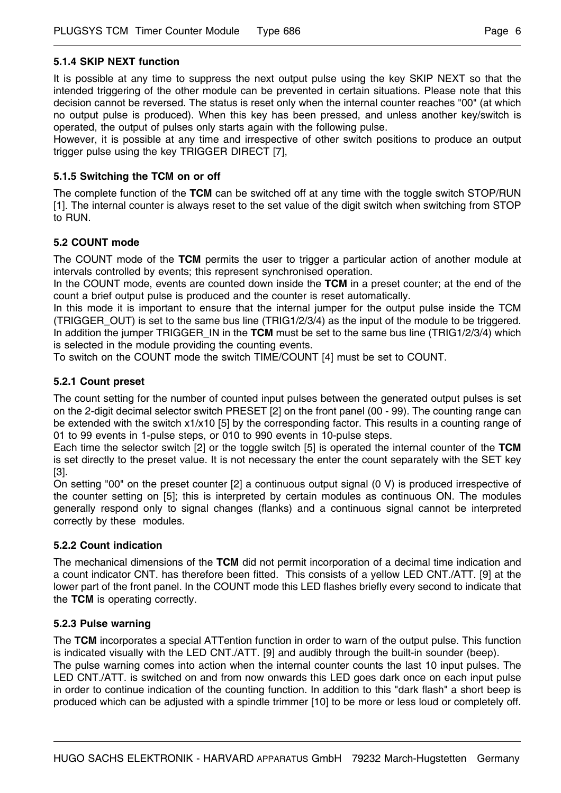## **5.1.4 SKIP NEXT function**

It is possible at any time to suppress the next output pulse using the key SKIP NEXT so that the intended triggering of the other module can be prevented in certain situations. Please note that this decision cannot be reversed. The status is reset only when the internal counter reaches "00" (at which no output pulse is produced). When this key has been pressed, and unless another key/switch is operated, the output of pulses only starts again with the following pulse.

However, it is possible at any time and irrespective of other switch positions to produce an output trigger pulse using the key TRIGGER DIRECT [7],

## **5.1.5 Switching the TCM on or off**

The complete function of the **TCM** can be switched off at any time with the toggle switch STOP/RUN [1]. The internal counter is always reset to the set value of the digit switch when switching from STOP to RUN.

## **5.2 COUNT mode**

The COUNT mode of the **TCM** permits the user to trigger a particular action of another module at intervals controlled by events; this represent synchronised operation.

In the COUNT mode, events are counted down inside the **TCM** in a preset counter; at the end of the count a brief output pulse is produced and the counter is reset automatically.

In this mode it is important to ensure that the internal jumper for the output pulse inside the TCM (TRIGGER\_OUT) is set to the same bus line (TRIG1/2/3/4) as the input of the module to be triggered. In addition the jumper TRIGGER IN in the **TCM** must be set to the same bus line (TRIG1/2/3/4) which is selected in the module providing the counting events.

To switch on the COUNT mode the switch TIME/COUNT [4] must be set to COUNT.

## **5.2.1 Count preset**

The count setting for the number of counted input pulses between the generated output pulses is set on the 2-digit decimal selector switch PRESET [2] on the front panel (00 - 99). The counting range can be extended with the switch x1/x10 [5] by the corresponding factor. This results in a counting range of 01 to 99 events in 1-pulse steps, or 010 to 990 events in 10-pulse steps.

Each time the selector switch [2] or the toggle switch [5] is operated the internal counter of the **TCM** is set directly to the preset value. It is not necessary the enter the count separately with the SET key [3].

On setting "00" on the preset counter [2] a continuous output signal (0 V) is produced irrespective of the counter setting on [5]; this is interpreted by certain modules as continuous ON. The modules generally respond only to signal changes (flanks) and a continuous signal cannot be interpreted correctly by these modules.

#### **5.2.2 Count indication**

The mechanical dimensions of the **TCM** did not permit incorporation of a decimal time indication and a count indicator CNT. has therefore been fitted. This consists of a yellow LED CNT./ATT. [9] at the lower part of the front panel. In the COUNT mode this LED flashes briefly every second to indicate that the **TCM** is operating correctly.

#### **5.2.3 Pulse warning**

The **TCM** incorporates a special ATTention function in order to warn of the output pulse. This function is indicated visually with the LED CNT./ATT. [9] and audibly through the built-in sounder (beep).

The pulse warning comes into action when the internal counter counts the last 10 input pulses. The LED CNT./ATT. is switched on and from now onwards this LED goes dark once on each input pulse in order to continue indication of the counting function. In addition to this "dark flash" a short beep is produced which can be adjusted with a spindle trimmer [10] to be more or less loud or completely off.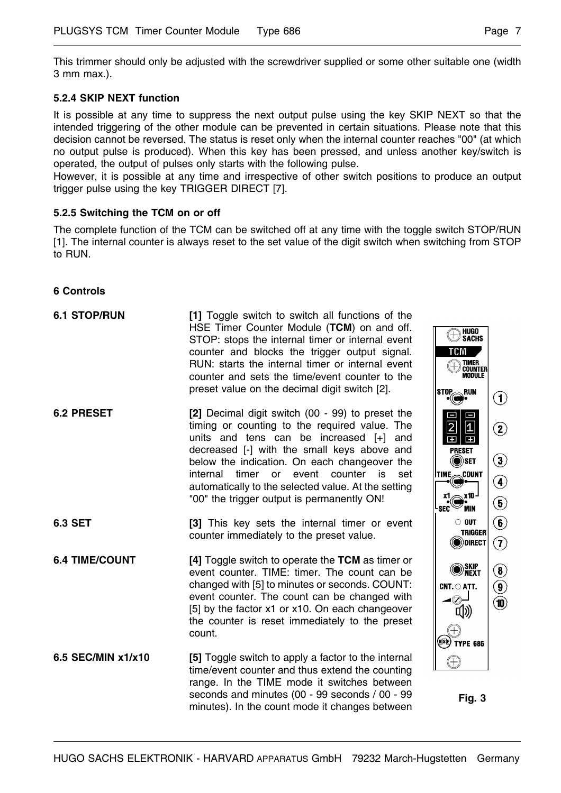## **5.2.4 SKIP NEXT function**

It is possible at any time to suppress the next output pulse using the key SKIP NEXT so that the intended triggering of the other module can be prevented in certain situations. Please note that this decision cannot be reversed. The status is reset only when the internal counter reaches "00" (at which no output pulse is produced). When this key has been pressed, and unless another key/switch is operated, the output of pulses only starts with the following pulse.

However, it is possible at any time and irrespective of other switch positions to produce an output trigger pulse using the key TRIGGER DIRECT [7].

## **5.2.5 Switching the TCM on or off**

The complete function of the TCM can be switched off at any time with the toggle switch STOP/RUN [1]. The internal counter is always reset to the set value of the digit switch when switching from STOP to RUN.

## **6 Controls**

| <b>6.1 STOP/RUN</b>   | [1] Toggle switch to switch all functions of the<br>HSE Timer Counter Module (TCM) on and off.<br>STOP: stops the internal timer or internal event<br>counter and blocks the trigger output signal.<br>RUN: starts the internal timer or internal event<br>counter and sets the time/event counter to the<br>preset value on the decimal digit switch [2].                                            | HUGO<br>Sachs<br>$(\pm)$<br>TCM<br>TIMER<br>Counter<br><b>MODULE</b><br><b>STOP</b> <sub>RUN</sub>                                               | $\odot$                                                          |
|-----------------------|-------------------------------------------------------------------------------------------------------------------------------------------------------------------------------------------------------------------------------------------------------------------------------------------------------------------------------------------------------------------------------------------------------|--------------------------------------------------------------------------------------------------------------------------------------------------|------------------------------------------------------------------|
| <b>6.2 PRESET</b>     | [2] Decimal digit switch (00 - 99) to preset the<br>timing or counting to the required value. The<br>units and tens can be increased $[+]$<br>and<br>decreased [-] with the small keys above and<br>below the indication. On each changeover the<br>internal<br>timer or event counter is<br>set<br>automatically to the selected value. At the setting<br>"00" the trigger output is permanently ON! | 0<br>$\frac{1}{1}$<br>$\frac{2}{5}$<br><b>PRESET</b><br>() SET®<br><b>TIME<sub>c</sub>count</b><br>mx10 ⊅<br>X1<br>$\mathsf{sec}^\heartsuit$ min | $\circled{2}$<br>$\circled{3}$<br>$\circled{4}$<br>$\circled{5}$ |
| <b>6.3 SET</b>        | [3] This key sets the internal timer or event<br>counter immediately to the preset value.                                                                                                                                                                                                                                                                                                             | $\circ$ out<br><b>TRIGGER</b><br>(O)DIRECT                                                                                                       | $\circledast$<br>$\left( \mathbf{\overline{7}}\right)$           |
| <b>6.4 TIME/COUNT</b> | [4] Toggle switch to operate the TCM as timer or<br>event counter. TIME: timer. The count can be<br>changed with [5] to minutes or seconds. COUNT:<br>event counter. The count can be changed with<br>[5] by the factor x1 or x10. On each changeover<br>the counter is reset immediately to the preset<br>count.                                                                                     | <b>SKIP</b><br>Onext<br>$CNT.$ $\bigcirc$ ATT.<br>◢◎┛<br>[10)<br>$^{(+)}$<br>(HSL) TYPE 686                                                      | $\circledast$<br>$\circledcirc$<br>$\bf(\widehat{10})$           |
| 6.5 SEC/MIN x1/x10    | [5] Toggle switch to apply a factor to the internal<br>time/event counter and thus extend the counting<br>range. In the TIME mode it switches between<br>seconds and minutes (00 - 99 seconds / 00 - 99<br>minutes). In the count mode it changes between                                                                                                                                             | $^{(+)}$<br><b>Fig. 3</b>                                                                                                                        |                                                                  |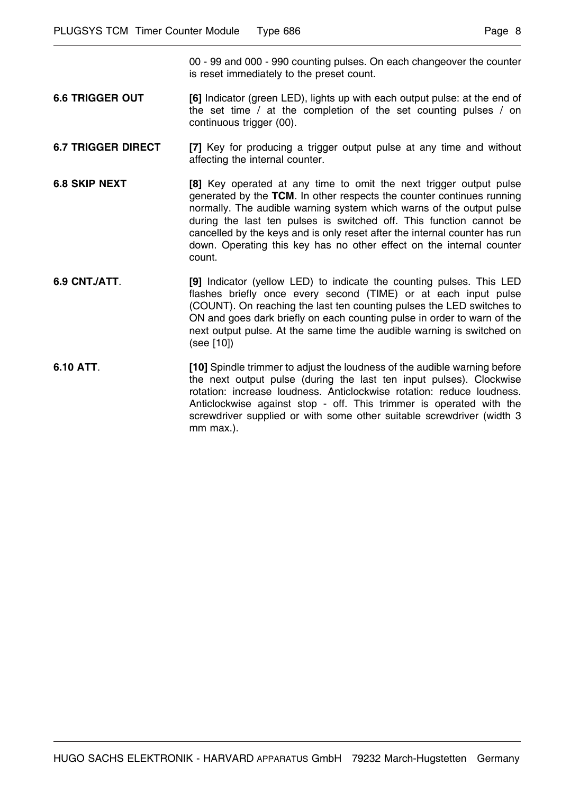00 - 99 and 000 - 990 counting pulses. On each changeover the counter is reset immediately to the preset count.

- **6.6 TRIGGER OUT** [6] Indicator (green LED), lights up with each output pulse: at the end of the set time / at the completion of the set counting pulses / on continuous trigger (00).
- **6.7 TRIGGER DIRECT** [7] Key for producing a trigger output pulse at any time and without affecting the internal counter.
- **6.8 SKIP NEXT** [8] Key operated at any time to omit the next trigger output pulse generated by the **TCM**. In other respects the counter continues running normally. The audible warning system which warns of the output pulse during the last ten pulses is switched off. This function cannot be cancelled by the keys and is only reset after the internal counter has run down. Operating this key has no other effect on the internal counter count.
- **6.9 CNT./ATT**. **[9]** Indicator (yellow LED) to indicate the counting pulses. This LED flashes briefly once every second (TIME) or at each input pulse (COUNT). On reaching the last ten counting pulses the LED switches to ON and goes dark briefly on each counting pulse in order to warn of the next output pulse. At the same time the audible warning is switched on (see [10])
- **6.10 ATT. [10]** Spindle trimmer to adjust the loudness of the audible warning before the next output pulse (during the last ten input pulses). Clockwise rotation: increase loudness. Anticlockwise rotation: reduce loudness. Anticlockwise against stop - off. This trimmer is operated with the screwdriver supplied or with some other suitable screwdriver (width 3 mm max.).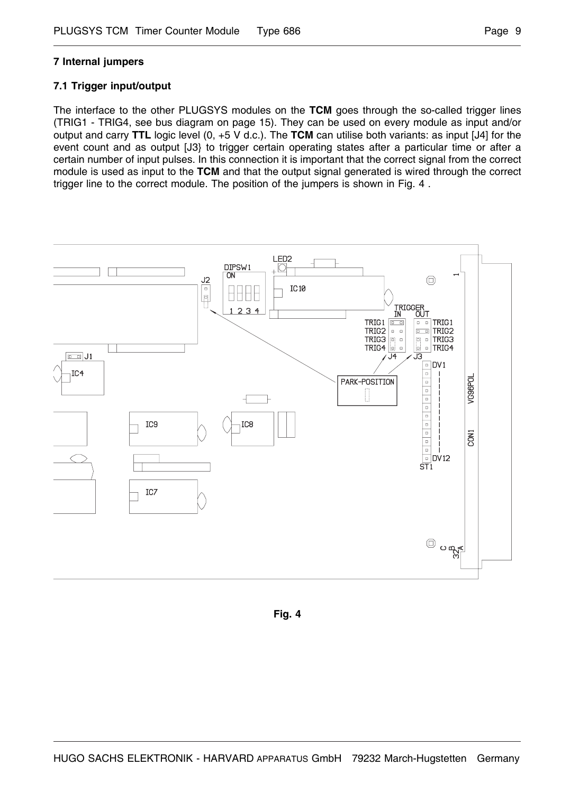## **7 Internal jumpers**

## **7.1 Trigger input/output**

The interface to the other PLUGSYS modules on the **TCM** goes through the so-called trigger lines (TRIG1 - TRIG4, see bus diagram on page 15). They can be used on every module as input and/or output and carry **TTL** logic level (0, +5 V d.c.). The **TCM** can utilise both variants: as input [J4] for the event count and as output [J3} to trigger certain operating states after a particular time or after a certain number of input pulses. In this connection it is important that the correct signal from the correct module is used as input to the **TCM** and that the output signal generated is wired through the correct trigger line to the correct module. The position of the jumpers is shown in Fig. 4 .



**Fig. 4**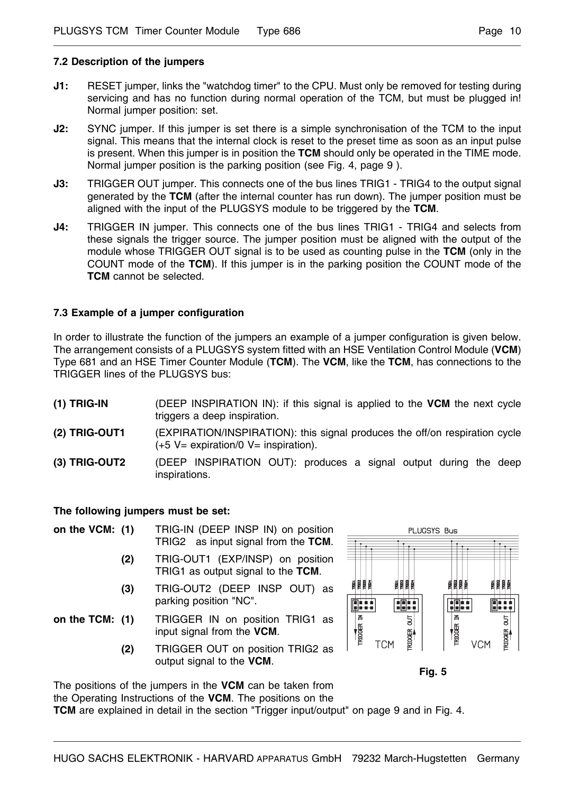## **7.2 Description of the jumpers**

- **J1:** RESET jumper, links the "watchdog timer" to the CPU. Must only be removed for testing during servicing and has no function during normal operation of the TCM, but must be plugged in! Normal jumper position: set.
- **J2:** SYNC jumper. If this jumper is set there is a simple synchronisation of the TCM to the input signal. This means that the internal clock is reset to the preset time as soon as an input pulse is present. When this jumper is in position the **TCM** should only be operated in the TIME mode. Normal jumper position is the parking position (see Fig. 4, page 9 ).
- **J3:** TRIGGER OUT jumper. This connects one of the bus lines TRIG1 TRIG4 to the output signal generated by the **TCM** (after the internal counter has run down). The jumper position must be aligned with the input of the PLUGSYS module to be triggered by the **TCM**.
- **J4:** TRIGGER IN jumper. This connects one of the bus lines TRIG1 TRIG4 and selects from these signals the trigger source. The jumper position must be aligned with the output of the module whose TRIGGER OUT signal is to be used as counting pulse in the **TCM** (only in the COUNT mode of the **TCM**). If this jumper is in the parking position the COUNT mode of the **TCM** cannot be selected.

## **7.3 Example of a jumper configuration**

In order to illustrate the function of the jumpers an example of a jumper configuration is given below. The arrangement consists of a PLUGSYS system fitted with an HSE Ventilation Control Module (**VCM**) Type 681 and an HSE Timer Counter Module (**TCM**). The **VCM**, like the **TCM**, has connections to the TRIGGER lines of the PLUGSYS bus:

- **(1) TRIG-IN** (DEEP INSPIRATION IN): if this signal is applied to the **VCM** the next cycle triggers a deep inspiration.
- **(2) TRIG-OUT1** (EXPIRATION/INSPIRATION): this signal produces the off/on respiration cycle  $(+5 V=$  expiration/0  $V=$  inspiration).
- **(3) TRIG-OUT2** (DEEP INSPIRATION OUT): produces a signal output during the deep inspirations.

## **The following jumpers must be set:**

- **on the VCM: (1)** TRIG-IN (DEEP INSP IN) on position TRIG2 as input signal from the **TCM**.
	- **(2)** TRIG-OUT1 (EXP/INSP) on position TRIG1 as output signal to the **TCM**.
	- **(3)** TRIG-OUT2 (DEEP INSP OUT) as parking position "NC".
- **on the TCM: (1)** TRIGGER IN on position TRIG1 as input signal from the **VCM**.
	- **(2)** TRIGGER OUT on position TRIG2 as output signal to the **VCM**.



**Fig. 5**

The positions of the jumpers in the **VCM** can be taken from the Operating Instructions of the **VCM**. The positions on the

**TCM** are explained in detail in the section "Trigger input/output" on page 9 and in Fig. 4.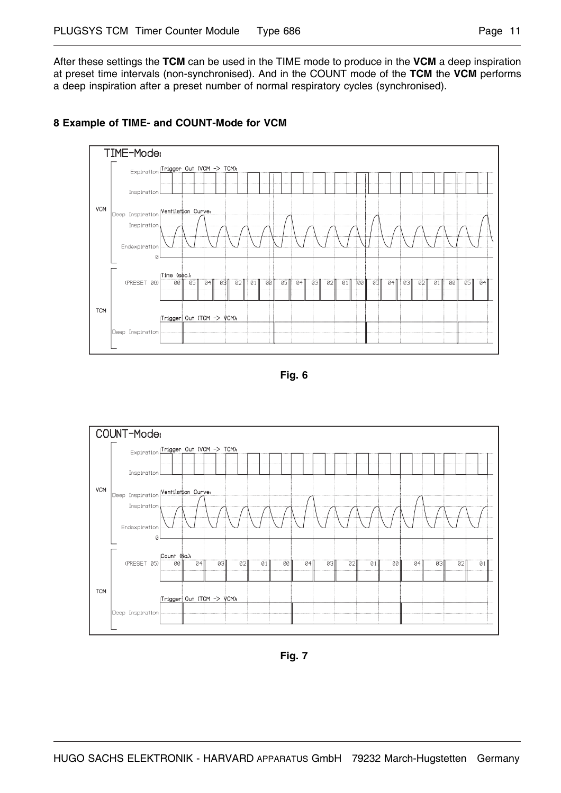After these settings the **TCM** can be used in the TIME mode to produce in the **VCM** a deep inspiration at preset time intervals (non-synchronised). And in the COUNT mode of the **TCM** the **VCM** performs a deep inspiration after a preset number of normal respiratory cycles (synchronised).



## **8 Example of TIME- and COUNT-Mode for VCM**





**Fig. 7**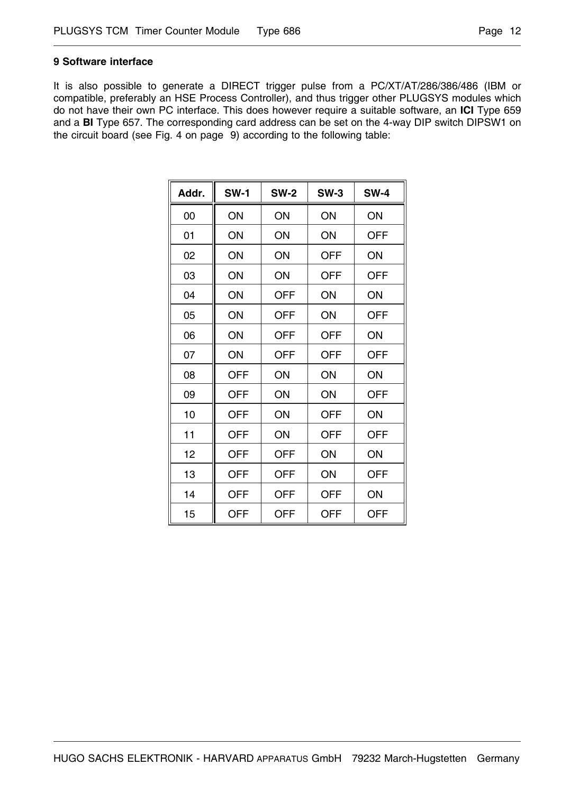## **9 Software interface**

It is also possible to generate a DIRECT trigger pulse from a PC/XT/AT/286/386/486 (IBM or compatible, preferably an HSE Process Controller), and thus trigger other PLUGSYS modules which do not have their own PC interface. This does however require a suitable software, an **ICI** Type 659 and a **BI** Type 657. The corresponding card address can be set on the 4-way DIP switch DIPSW1 on the circuit board (see Fig. 4 on page 9) according to the following table:

| Addr. | <b>SW-1</b> | <b>SW-2</b> | $SW-3$     | <b>SW-4</b> |
|-------|-------------|-------------|------------|-------------|
| 00    | ON          | ON          | ON         | ON          |
| 01    | ON          | ON          | ON         | <b>OFF</b>  |
| 02    | ON          | ON          | <b>OFF</b> | ON          |
| 03    | ON          | ON          | OFF        | <b>OFF</b>  |
| 04    | ON          | <b>OFF</b>  | ON         | ON          |
| 05    | ON          | OFF         | ON         | <b>OFF</b>  |
| 06    | ON          | <b>OFF</b>  | <b>OFF</b> | ON          |
| 07    | ON          | <b>OFF</b>  | <b>OFF</b> | <b>OFF</b>  |
| 08    | <b>OFF</b>  | ON          | ON         | ON          |
| 09    | <b>OFF</b>  | ON          | ON         | <b>OFF</b>  |
| 10    | <b>OFF</b>  | ON          | <b>OFF</b> | ON          |
| 11    | <b>OFF</b>  | ON          | OFF        | <b>OFF</b>  |
| 12    | <b>OFF</b>  | <b>OFF</b>  | ON         | ON          |
| 13    | <b>OFF</b>  | <b>OFF</b>  | ON         | <b>OFF</b>  |
| 14    | <b>OFF</b>  | <b>OFF</b>  | <b>OFF</b> | ON          |
| 15    | <b>OFF</b>  | OFF         | OFF        | OFF         |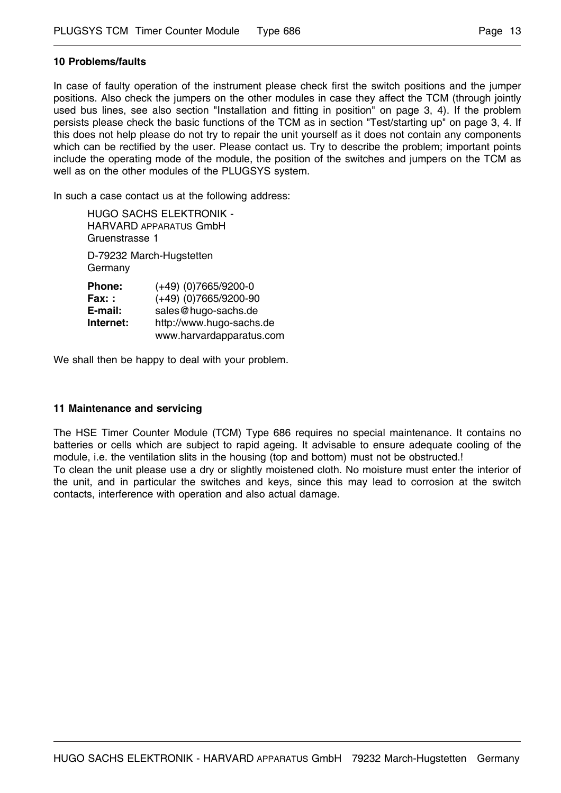## **10 Problems/faults**

In case of faulty operation of the instrument please check first the switch positions and the jumper positions. Also check the jumpers on the other modules in case they affect the TCM (through jointly used bus lines, see also section "Installation and fitting in position" on page 3, 4). If the problem persists please check the basic functions of the TCM as in section "Test/starting up" on page 3, 4. If this does not help please do not try to repair the unit yourself as it does not contain any components which can be rectified by the user. Please contact us. Try to describe the problem; important points include the operating mode of the module, the position of the switches and jumpers on the TCM as well as on the other modules of the PLUGSYS system.

In such a case contact us at the following address:

| HUGO SACHS ELEKTRONIK -<br>HARVARD APPARATUS GmbH<br>Gruenstrasse 1 |                                                                                                                                  |  |  |
|---------------------------------------------------------------------|----------------------------------------------------------------------------------------------------------------------------------|--|--|
| D-79232 March-Hugstetten<br>Germany                                 |                                                                                                                                  |  |  |
| Phone:<br>Fax: :<br>E-mail:<br>Internet:                            | $(+49)$ (0)7665/9200-0<br>$(+49)$ (0)7665/9200-90<br>sales@hugo-sachs.de<br>http://www.hugo-sachs.de<br>www.harvardapparatus.com |  |  |

We shall then be happy to deal with your problem.

## **11 Maintenance and servicing**

The HSE Timer Counter Module (TCM) Type 686 requires no special maintenance. It contains no batteries or cells which are subject to rapid ageing. It advisable to ensure adequate cooling of the module, i.e. the ventilation slits in the housing (top and bottom) must not be obstructed.! To clean the unit please use a dry or slightly moistened cloth. No moisture must enter the interior of the unit, and in particular the switches and keys, since this may lead to corrosion at the switch contacts, interference with operation and also actual damage.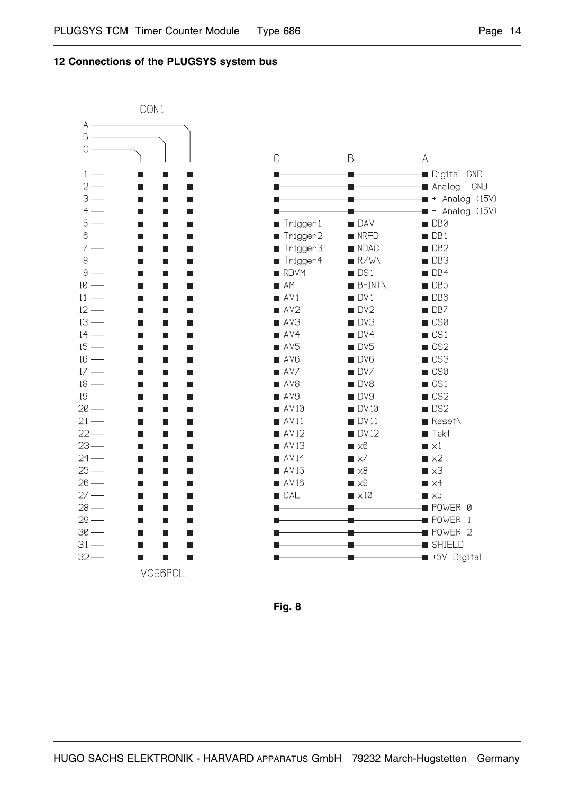#### **12 Connections of the PLUGSYS system bus**



| C                   | B                        | А                               |
|---------------------|--------------------------|---------------------------------|
|                     |                          | <b>Digital GND</b>              |
|                     |                          | <b>■</b> Analog<br>GND          |
|                     |                          | + Analog<br>(15V)               |
|                     |                          | - Analog (15V)                  |
| Trigger1            | <b>DAV</b>               | DB0                             |
| Trigger2            | <b>NRFD</b>              | DB1                             |
| ■ Trigger3          | <b>NDAC</b>              | DB <sub>2</sub>                 |
| ■ Trigger4          | R/W                      | DB <sub>3</sub>                 |
| RDVM                | DS1                      | DB4                             |
| $A$ M               | B-INT\                   | DB <sub>5</sub>                 |
| $\blacksquare$ AV1  | DV1                      | DB <sub>6</sub>                 |
| $\blacksquare$ AV2  | DV <sub>2</sub>          | DB7                             |
| AX3                 | DV3                      | $\Box$ CS0                      |
| AVA                 | DV4                      | $\Box$ CS1                      |
| AV5                 | <b>I</b> DV5             | $\Box$ CS2                      |
| AVB                 | DV6                      | CS3                             |
| $\blacksquare$ AV7  | DV7                      | GS0                             |
| $\blacksquare$ AV8  | DV8                      | $\blacksquare$ GS1              |
| $\blacksquare$ AV9  | DV9                      | GS <sub>2</sub>                 |
| $\blacksquare$ AV10 | DV 10                    | DS <sub>2</sub>                 |
| $\blacksquare$ AV11 | DV11                     | Reset\                          |
| $\blacksquare$ AV12 | <b>DV12</b>              | Takt                            |
| $\blacksquare$ AV13 | x6                       | $\blacksquare \times 1$         |
| $\blacksquare$ AV14 | $\times$ 7               | $\blacksquare \times 2$         |
| $\blacksquare$ AV15 | -x8                      | $\blacksquare \times 3$         |
| $\blacksquare$ AV16 | $\blacksquare \times 9$  | $\blacksquare \times 4$         |
| <b>CAL</b>          | $\blacksquare \times 10$ | $\blacksquare$ $\times$ 5       |
|                     |                          | $\blacksquare$ POWER<br>Ø       |
|                     |                          | <b>B</b> POWER<br>1             |
|                     |                          | <b>B</b> POWER<br>$\mathcal{D}$ |
|                     |                          | <b>SHIELD</b>                   |
|                     |                          | ■ +5V Digital                   |

**Fig. 8**